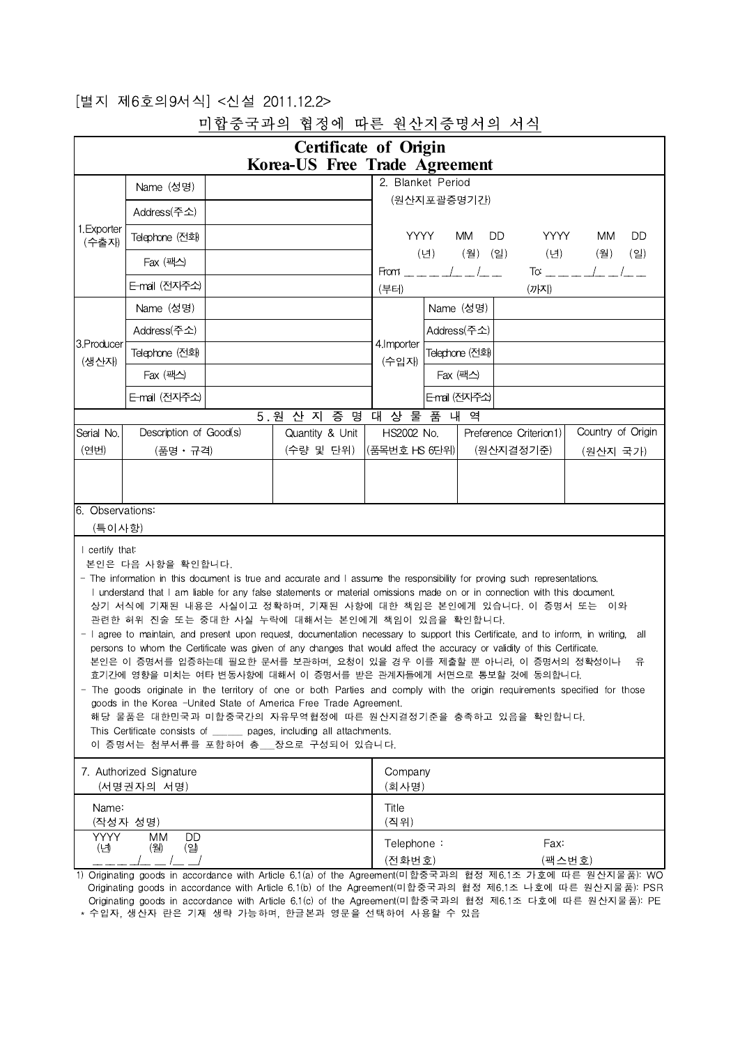## [별지 제6호의9서식] <신설 2011.12.2>

|                                               |                                                                                                                                                                                                                                                                                                                                                                                                                                                                                                                                                                                                                                                                                                                                                                                                                                                                                                                                                                                                                                         | <b>Certificate of Origin</b><br>Korea-US Free Trade Agreement |                                                                                                                                                                                                                                                                                                                                                                                                                                   |               |             |                                     |                               |   |
|-----------------------------------------------|-----------------------------------------------------------------------------------------------------------------------------------------------------------------------------------------------------------------------------------------------------------------------------------------------------------------------------------------------------------------------------------------------------------------------------------------------------------------------------------------------------------------------------------------------------------------------------------------------------------------------------------------------------------------------------------------------------------------------------------------------------------------------------------------------------------------------------------------------------------------------------------------------------------------------------------------------------------------------------------------------------------------------------------------|---------------------------------------------------------------|-----------------------------------------------------------------------------------------------------------------------------------------------------------------------------------------------------------------------------------------------------------------------------------------------------------------------------------------------------------------------------------------------------------------------------------|---------------|-------------|-------------------------------------|-------------------------------|---|
|                                               | Name (성명)                                                                                                                                                                                                                                                                                                                                                                                                                                                                                                                                                                                                                                                                                                                                                                                                                                                                                                                                                                                                                               |                                                               | 2. Blanket Period                                                                                                                                                                                                                                                                                                                                                                                                                 |               |             |                                     |                               |   |
|                                               | Address(주소)                                                                                                                                                                                                                                                                                                                                                                                                                                                                                                                                                                                                                                                                                                                                                                                                                                                                                                                                                                                                                             |                                                               | (원산지포괄증명기간)                                                                                                                                                                                                                                                                                                                                                                                                                       |               |             |                                     |                               |   |
| 1. Exporter<br>(수출자)                          | Telephone (전화)                                                                                                                                                                                                                                                                                                                                                                                                                                                                                                                                                                                                                                                                                                                                                                                                                                                                                                                                                                                                                          |                                                               | <b>YYYY</b><br>MM<br>DD.<br><b>YYYY</b><br>MM<br><b>DD</b>                                                                                                                                                                                                                                                                                                                                                                        |               |             |                                     |                               |   |
|                                               | Fax (팩스)                                                                                                                                                                                                                                                                                                                                                                                                                                                                                                                                                                                                                                                                                                                                                                                                                                                                                                                                                                                                                                |                                                               | (월) (일)<br>(월)<br>$\left( \underline{\mathbf{Q}}\right)$<br>(년)<br>(년)<br>$T\sigma = -1$                                                                                                                                                                                                                                                                                                                                          |               |             |                                     |                               |   |
|                                               | E-mail (전자주소)                                                                                                                                                                                                                                                                                                                                                                                                                                                                                                                                                                                                                                                                                                                                                                                                                                                                                                                                                                                                                           |                                                               | From $\frac{1}{1-\frac{1}{1-\frac{1}{1-\frac{1}{1-\frac{1}{1-\frac{1}{1-\frac{1}{1-\frac{1}{1-\frac{1}{1-\frac{1}{1-\frac{1}{1-\frac{1}{1-\frac{1}{1-\frac{1}{1-\frac{1}{1-\frac{1}{1-\frac{1}{1-\frac{1}{1-\frac{1}{1-\frac{1}{1-\frac{1}{1-\frac{1}{1-\frac{1}{1-\frac{1}{1-\frac{1}{1-\frac{1}{1-\frac{1}{1-\frac{1}{1-\frac{1}{1-\frac{1}{1-\frac{1}{1-\frac{1}{1-\frac{1}{1-\frac{1}{1-\frac{1}{1-\frac{1}{$<br>(부터)<br>(까지) |               |             |                                     |                               |   |
|                                               | Name (성명)                                                                                                                                                                                                                                                                                                                                                                                                                                                                                                                                                                                                                                                                                                                                                                                                                                                                                                                                                                                                                               |                                                               | Name (성명)                                                                                                                                                                                                                                                                                                                                                                                                                         |               |             |                                     |                               |   |
|                                               | Address(주소)                                                                                                                                                                                                                                                                                                                                                                                                                                                                                                                                                                                                                                                                                                                                                                                                                                                                                                                                                                                                                             |                                                               |                                                                                                                                                                                                                                                                                                                                                                                                                                   |               | Address(주소) |                                     |                               |   |
| 3. Producer<br>(생산자)                          | Telephone (전화)                                                                                                                                                                                                                                                                                                                                                                                                                                                                                                                                                                                                                                                                                                                                                                                                                                                                                                                                                                                                                          | 4. Importer<br>(수입자)                                          | Telephone (전화)                                                                                                                                                                                                                                                                                                                                                                                                                    |               |             |                                     |                               |   |
|                                               | Fax (팩스)                                                                                                                                                                                                                                                                                                                                                                                                                                                                                                                                                                                                                                                                                                                                                                                                                                                                                                                                                                                                                                |                                                               |                                                                                                                                                                                                                                                                                                                                                                                                                                   |               | Fax (팩스)    |                                     |                               |   |
|                                               | E-mail (전자주소)                                                                                                                                                                                                                                                                                                                                                                                                                                                                                                                                                                                                                                                                                                                                                                                                                                                                                                                                                                                                                           |                                                               |                                                                                                                                                                                                                                                                                                                                                                                                                                   | E-mail (전자주소) |             |                                     |                               |   |
|                                               |                                                                                                                                                                                                                                                                                                                                                                                                                                                                                                                                                                                                                                                                                                                                                                                                                                                                                                                                                                                                                                         | 5. 원 산 지 증 명                                                  | 대 상 물 품 내 역                                                                                                                                                                                                                                                                                                                                                                                                                       |               |             |                                     |                               |   |
| Serial No.<br>(연번)                            | Description of Good(s)<br>(품명 • 규격)                                                                                                                                                                                                                                                                                                                                                                                                                                                                                                                                                                                                                                                                                                                                                                                                                                                                                                                                                                                                     | Quantity & Unit<br>(수량 및 단위)                                  | HS2002 No.<br> (품목번호 HS 6단위)                                                                                                                                                                                                                                                                                                                                                                                                      |               |             | Preference Criterion1)<br>(원산지결정기준) | Country of Origin<br>(원산지 국가) |   |
|                                               |                                                                                                                                                                                                                                                                                                                                                                                                                                                                                                                                                                                                                                                                                                                                                                                                                                                                                                                                                                                                                                         |                                                               |                                                                                                                                                                                                                                                                                                                                                                                                                                   |               |             |                                     |                               |   |
| 6. Observations:<br>(특이사항)<br>I certify that: | 본인은 다음 사항을 확인합니다.<br>- The information in this document is true and accurate and I assume the responsibility for proving such representations.                                                                                                                                                                                                                                                                                                                                                                                                                                                                                                                                                                                                                                                                                                                                                                                                                                                                                          |                                                               |                                                                                                                                                                                                                                                                                                                                                                                                                                   |               |             |                                     |                               |   |
|                                               | I understand that I am liable for any false statements or material omissions made on or in connection with this document.<br>상기 서식에 기재된 내용은 사실이고 정확하며, 기재된 사항에 대한 책임은 본인에게 있습니다. 이 증명서 또는 이와<br>관련한 허위 진술 또는 중대한 사실 누락에 대해서는 본인에게 책임이 있음을 확인합니다.<br>- I agree to maintain, and present upon request, documentation necessary to support this Certificate, and to inform, in writing, all<br>persons to whom the Certificate was given of any changes that would affect the accuracy or validity of this Certificate.<br>본인은 이 증명서를 입증하는데 필요한 문서를 보관하며, 요청이 있을 경우 이를 제출할 뿐 아니라, 이 증명서의 정확성이나<br>효기간에 영향을 미치는 여타 변동사항에 대해서 이 증명서를 받은 관계자들에게 서면으로 통보할 것에 동의합니다.<br>The goods originate in the territory of one or both Parties and comply with the origin requirements specified for those<br>goods in the Korea -United State of America Free Trade Agreement.<br>해당 물품은 대한민국과 미합중국간의 자유무역협정에 따른 원산지결정기준을 충족하고 있음을 확인합니다.<br>This Certificate consists of _______ pages, including all attachments.<br>이 증명서는 첨부서류를 포함하여 총 장으로 구성되어 있습니다. |                                                               |                                                                                                                                                                                                                                                                                                                                                                                                                                   |               |             |                                     |                               | 유 |
|                                               | 7. Authorized Signature<br>(서명권자의 서명)                                                                                                                                                                                                                                                                                                                                                                                                                                                                                                                                                                                                                                                                                                                                                                                                                                                                                                                                                                                                   |                                                               | Company<br>(회사명)                                                                                                                                                                                                                                                                                                                                                                                                                  |               |             |                                     |                               |   |
| Name:                                         | (작성자 성명)                                                                                                                                                                                                                                                                                                                                                                                                                                                                                                                                                                                                                                                                                                                                                                                                                                                                                                                                                                                                                                |                                                               | Title<br>(직위)                                                                                                                                                                                                                                                                                                                                                                                                                     |               |             |                                     |                               |   |

Originating goods in accordance with Article 6.1(c) of the Agreement(미합중국과의 협정 제6.1조 다호에 따른 원산지물품): PE \* 수입자, 생산자 란은 기재 생략 가능하며, 한글본과 영문을 선택하여 사용할 수 있음